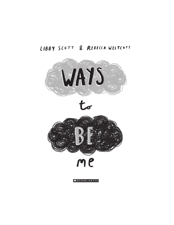## LIBBY SCOTT & REBECCA WESTCOTT



 $t_{\sigma}$ 



**MSCHOLASTIC**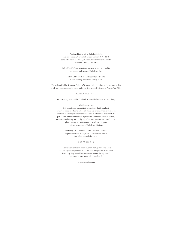Published in the UK by Scholastic, 2021 Euston House, 24 Eversholt Street, London, NW1 1DB Scholastic Ireland, 89E Lagan Road, Dublin Industrial Estate, Glasnevin, Dublin, D11 HP5F

SCHOLASTIC and associated logos are trademarks and/or registered trademarks of Scholastic Inc.

Text © Libby Scott and Rebecca Westcott, 2021 Cover lettering by Aaron Cushley, 2021

The rights of Libby Scott and Rebecca Westcott to be identified as the authors of this work have been asserted by them under the Copyright, Designs and Patents Act 1988.

ISBN 978 0702 30835 2

A CIP catalogue record for this book is available from the British Library.

All rights reserved.

This book is sold subject to the condition that it shall not, by way of trade or otherwise, be lent, hired out or otherwise circulated in any form of binding or cover other than that in which it is published. No part of this publication may be reproduced, stored in a retrieval system, or transmitted in any form or by any other means (electronic, mechanical, photocopying, recording or otherwise) without prior written permission of Scholastic Limited.

> Printed by CPI Group (UK) Ltd, Croydon, CR0 4YY Paper made from wood grown in sustainable forests and other controlled sources.

#### 1 3 5 7 9 10 8 6 4 2

This is a work of fiction. Names, characters, places, incidents and dialogues are products of the author's imagination or are used fictitiously. Any resemblance to actual people, living or dead, events or locales is entirely coincidental.

www.scholastic.co.uk

\*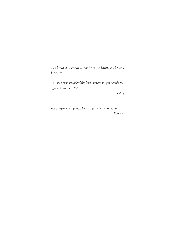*To Marnie and Frankie, thank you for letting me be your big sister.*

*To Louie, who unlocked the love I never thought I could feel again for another dog.*

*Libby*

*For everyone doing their best to figure out who they are. Rebecca*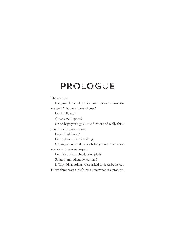# PROLOGUE

Three words.

Imagine that's all you've been given to describe yourself. What would you choose?

Loud, tall, arty?

Quiet, small, sporty?

Or perhaps you'd go a little further and really think about what makes you *you*.

Loyal, kind, brave?

Funny, honest, hard-working?

*Or*, maybe you'd take a really long look at the person

you are and go even deeper.

Impulsive, determined, principled?

Solitary, unpredictable, curious?

If Tally Olivia Adams were asked to describe herself in just three words, she'd have somewhat of a problem.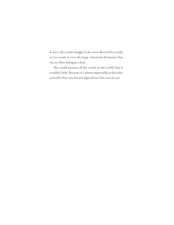In fact, she would struggle if she were allowed five words or ten words or even the huge classroom dictionary that sits on Miss Balogun's desk.

She could possess all the words in the world, but it wouldn't help. Because it's almost impossible to describe yourself when you haven't figured out who you are yet.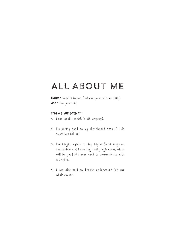# All About Me

Name: Natalia Adams (but everyone calls me Tally) AGE: Ten years old

### THInGS I Am GOOd At:

- 1. I can speak Spanish (a bit, anyway).
- 2. I'm pretty good on my skateboard even if I do sometimes fall off.
- 3. I've taught myself to play Taylor Swift songs on the ukulele and I can sing really high notes, which will be good if I ever need to communicate with a dolphin.
- 4. I can also hold my breath underwater for one whole minute.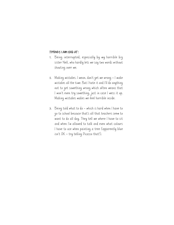### THInGS I Am Bad At:

- 1. Being interrupted, especially by my horrible big sister Nell, who hardly lets me say two words without shouting over me.
- 2. Making mistakes. I mean, don't get me wrong I make mistakes all the time. But I hate it and I'll do anything not to get something wrong which often means that I won't even try something, just in case I mess it up. Making mistakes makes me feel horrible inside.
- 3. Being told what to do which is hard when I have to go to school because that's all that teachers seem to want to do all day. They tell me where I have to sit and when I'm allowed to talk and even what colours I have to use when painting a tree (apparently blue isn't OK – try telling Picasso that!).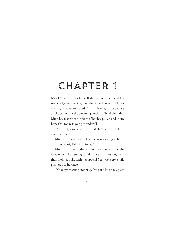# CHAPTER 1

It's all Granny Lola's fault. If she had never created her so-called *famous* recipe, then there's a chance that Tally's day might have improved. A *tiny* chance, but a chance all the same. But the steaming portion of beef chilli that Mum has just placed in front of her has put an end to any hope that today is going to end well.

"No." Tally drops her head and stares at the table. "I can't eat that."

Mum sits down next to Dad, who gives a big sigh.

"Don't start, Tally. Not today."

Mum pats him on the arm in the same way that she does when she's trying to tell him to stop talking, and then looks at Tally with her special *I am very calm* smile plastered to her face.

"Nobody's starting anything. I've got a lot on my plate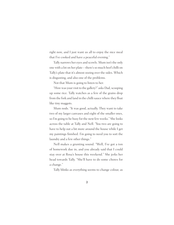right now, and I just want us all to enjoy the nice meal that I've cooked and have a peaceful evening."

Tally narrows her eyes and scowls. Mum isn't the only one with a lot on her plate – there's so much beef chilli on Tally's plate that it's almost oozing over the sides. Which is disgusting, and also one of the problems.

Not that Mum is going to listen to her.

"How was your visit to the gallery?" asks Dad, scooping up some rice. Tally watches as a few of the grains drop from the fork and land in the chilli sauce where they float like tiny maggots.

Mum nods. "It was good, actually. They want to take two of my larger canvases and eight of the smaller ones, so I'm going to be busy for the next few weeks." She looks across the table at Tally and Nell. "You two are going to have to help out a bit more around the house while I get my paintings finished. I'm going to need you to sort the laundry and a few other things."

Nell makes a grunting sound. "Well, I've got a ton of homework due in, and you already said that I could stay over at Rosa's house this weekend." She jerks her head towards Tally. "She'll have to do some chores for a change."

Tally blinks as everything seems to change colour, as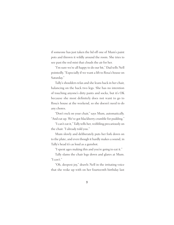if someone has just taken the lid off one of Mum's paint pots and thrown it wildly around the room. She tries to see past the red mist that clouds the air for her.

"I'm sure we're all happy to do our bit," Dad tells Nell pointedly. "Especially if we want a lift to Rosa's house on Saturday."

Tally's shoulders relax and she leans back in her chair, balancing on the back two legs. She has no intention of touching anyone's dirty pants and socks, but it's OK because she most definitely does not want to go to Rosa's house at the weekend, so she doesn't need to do any chores.

"Don't rock on your chair," says Mum, automatically. "And eat up. We've got blackberry crumble for pudding."

"I can't eat it," Tally tells her, wobbling precariously on the chair. "I already told you."

Mum slowly and deliberately puts her fork down on to the plate, and even though it hardly makes a sound, in Tally's head it's as loud as a gunshot.

"I spent ages making this and you're going to eat it."

Tally slams the chair legs down and glares at Mum. "I *can't*."

"Oh, deepest joy," drawls Nell in the irritating voice that she woke up with on her fourteenth birthday last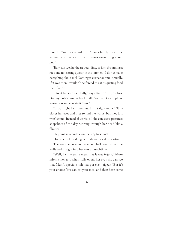month. "Another wonderful Adams family mealtime where Tally has a strop and makes everything about her."

Tally can feel her heart pounding, as if she's running a race and not sitting quietly in the kitchen. "I do *not* make everything about me! Nothing is ever about me, actually. If it was then I wouldn't be forced to eat disgusting food that I hate."

"Don't be so rude, Tally," says Dad. "And you love Granny Lola's famous beef chilli. We had it a couple of weeks ago and you ate it then."

"It was right last time, but it isn't right today!" Tally closes her eyes and tries to find the words, but they just won't come. Instead of words, all she can see is pictures: snapshots of the day running through her head like a film reel.

Stepping in a puddle on the way to school.

Horrible Luke calling her rude names at break-time.

The way the noise in the school hall bounced off the walls and straight into her ears at lunchtime.

"Well, it's the same meal that it was *before*," Mum informs her, and when Tally opens her eyes she can see that Mum's special smile has got even bigger. "But it's your choice. You can eat your meal and then have some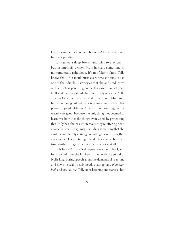lovely crumble, or you can choose *not* to eat it and *not* have any pudding."

Tally takes a deep breath and tries to stay calm, but it's impossible when Mum has said something so monumentally ridiculous. It's not Mum's fault, Tally knows that – but it still hurts every time she tries to use one of the ridiculous strategies that she and Dad learnt on the useless parenting course they went on last year. Nell said that they should have sent Tally on a *How to Be a Better Kid* course instead, and even though Mum told her off for being unkind, Tally is pretty sure that both her parents agreed with her. Anyway, the parenting course wasn't very good, because the only thing they seemed to learn was how to make things even worse by pretending that Tally has choices when really they're offering her a choice between *everything*, including something that she can't eat, or literally *nothing*, including the one thing that she *can* eat. They're trying to make her choose between two horrible things, which isn't a real choice at all.

Tally hears Dad ask Nell a question about school, and for a few minutes the kitchen is filled with the sound of Nell's long, boring speech about the demands of year nine and how she really, really needs a laptop, and *blah blah blah* and *me, me, me*. Tally stops listening and stares at her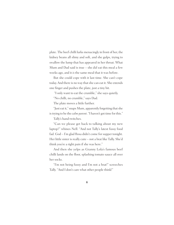plate. The beef chilli lurks menacingly in front of her, the kidney beans all slimy and soft, and she gulps, trying to swallow the lump that has appeared in her throat. What Mum and Dad said is true – she *did* eat this meal a few weeks ago, and it *is* the same meal that it was before.

But she could cope with it last time. She can't cope today. And there is no way that she can eat it. She extends one finger and pushes the plate, just a tiny bit.

"I only want to eat the crumble," she says quietly.

"No chilli, no crumble," says Dad.

The plate moves a little further.

"Just eat it," snaps Mum, apparently forgetting that she is trying to be the *calm parent*. "I haven't got time for this."

Tally's hand twitches.

"Can we please get back to talking about my new laptop?" whines Nell. "And not Tally's latest fussy food fad. God – I'm glad Rosa didn't come for supper tonight. Her little sister is really cute – not a brat like Tally. She'd think you're a right pain if she was here."

And then she yelps as Granny Lola's famous beef chilli lands on the floor, splashing tomato sauce all over her socks.

"I'm not being fussy and I'm not a brat!" screeches Tally. "And I don't care what other people think!"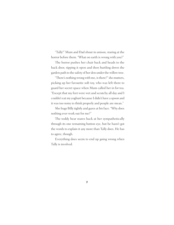"Tally!" Mum and Dad shout in unison, staring at the horror before them. "What on earth is wrong with you?"

The horror pushes her chair back and heads to the back door, ripping it open and then hurtling down the garden path to the safety of her den under the willow tree.

"There's nothing wrong with me, is there?" she mutters, picking up her favourite soft toy, who was left there to guard her secret space when Mum called her in for tea. "Except that my feet were wet and scratchy all day and I couldn't eat my yoghurt because I didn't have a spoon and it was too noisy to think properly and people are mean."

She hugs Billy tightly and gazes at his face. "Why does nothing ever work out for me?"

The teddy bear stares back at her sympathetically through its one remaining button eye, but he hasn't got the words to explain it any more than Tally does. He has to agree, though.

Everything does seem to end up going wrong when Tally is involved.